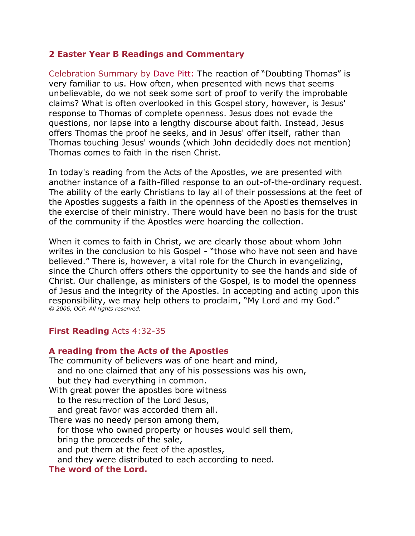## **2 Easter Year B Readings and Commentary**

Celebration Summary by [Dave Pitt:](http://www.liturgy.com/home/authors.php?authorID=22) The reaction of "Doubting Thomas" is very familiar to us. How often, when presented with news that seems unbelievable, do we not seek some sort of proof to verify the improbable claims? What is often overlooked in this Gospel story, however, is Jesus' response to Thomas of complete openness. Jesus does not evade the questions, nor lapse into a lengthy discourse about faith. Instead, Jesus offers Thomas the proof he seeks, and in Jesus' offer itself, rather than Thomas touching Jesus' wounds (which John decidedly does not mention) Thomas comes to faith in the risen Christ.

In today's reading from the Acts of the Apostles, we are presented with another instance of a faith-filled response to an out-of-the-ordinary request. The ability of the early Christians to lay all of their possessions at the feet of the Apostles suggests a faith in the openness of the Apostles themselves in the exercise of their ministry. There would have been no basis for the trust of the community if the Apostles were hoarding the collection.

When it comes to faith in Christ, we are clearly those about whom John writes in the conclusion to his Gospel - "those who have not seen and have believed." There is, however, a vital role for the Church in evangelizing, since the Church offers others the opportunity to see the hands and side of Christ. Our challenge, as ministers of the Gospel, is to model the openness of Jesus and the integrity of the Apostles. In accepting and acting upon this responsibility, we may help others to proclaim, "My Lord and my God." *© 2006, OCP. All rights reserved.*

# **First Reading** Acts 4:32-35

# **A reading from the Acts of the Apostles**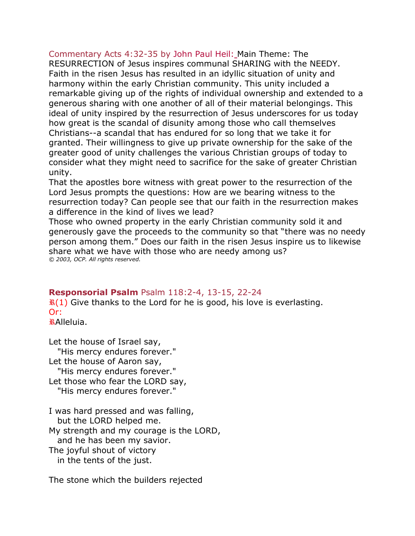Commentary Acts 4:32-35 by [John Paul Heil:](http://www.liturgy.com/home/authors.php?authorID=6) Main Theme: The RESURRECTION of Jesus inspires communal SHARING with the NEEDY. Faith in the risen Jesus has resulted in an idyllic situation of unity and harmony within the early Christian community. This unity included a remarkable giving up of the rights of individual ownership and extended to a generous sharing with one another of all of their material belongings. This ideal of unity inspired by the resurrection of Jesus underscores for us today how great is the scandal of disunity among those who call themselves Christians--a scandal that has endured for so long that we take it for granted. Their willingness to give up private ownership for the sake of the greater good of unity challenges the various Christian groups of today to consider what they might need to sacrifice for the sake of greater Christian unity.

That the apostles bore witness with great power to the resurrection of the Lord Jesus prompts the questions: How are we bearing witness to the resurrection today? Can people see that our faith in the resurrection makes a difference in the kind of lives we lead?

Those who owned property in the early Christian community sold it and generously gave the proceeds to the community so that "there was no needy person among them." Does our faith in the risen Jesus inspire us to likewise share what we have with those who are needy among us? *© 2003, OCP. All rights reserved.*

# **Responsorial Psalm** Psalm 118:2-4, 13-15, 22-24

 $\mathbf{R}(1)$  Give thanks to the Lord for he is good, his love is everlasting. Or:

Alleluia.

Let the house of Israel say, "His mercy endures forever." Let the house of Aaron say, "His mercy endures forever." Let those who fear the LORD say, "His mercy endures forever."

I was hard pressed and was falling, but the LORD helped me. My strength and my courage is the LORD, and he has been my savior. The joyful shout of victory

in the tents of the just.

The stone which the builders rejected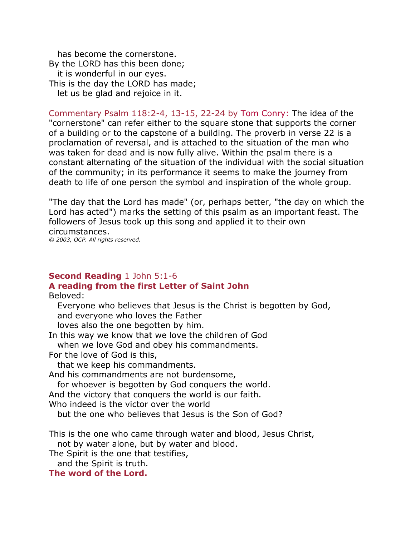has become the cornerstone. By the LORD has this been done; it is wonderful in our eyes. This is the day the LORD has made; let us be glad and rejoice in it.

Commentary Psalm 118:2-4, 13-15, 22-24 by [Tom Conry:](http://www.liturgy.com/home/authors.php?authorID=185) The idea of the "cornerstone" can refer either to the square stone that supports the corner of a building or to the capstone of a building. The proverb in verse 22 is a proclamation of reversal, and is attached to the situation of the man who was taken for dead and is now fully alive. Within the psalm there is a constant alternating of the situation of the individual with the social situation of the community; in its performance it seems to make the journey from death to life of one person the symbol and inspiration of the whole group.

"The day that the Lord has made" (or, perhaps better, "the day on which the Lord has acted") marks the setting of this psalm as an important feast. The followers of Jesus took up this song and applied it to their own circumstances.

*© 2003, OCP. All rights reserved.*

## **Second Reading** 1 John 5:1-6 **A reading from the first Letter of Saint John**

Beloved:

 Everyone who believes that Jesus is the Christ is begotten by God, and everyone who loves the Father

loves also the one begotten by him.

In this way we know that we love the children of God

when we love God and obey his commandments.

For the love of God is this,

that we keep his commandments.

And his commandments are not burdensome,

for whoever is begotten by God conquers the world.

And the victory that conquers the world is our faith.

Who indeed is the victor over the world

but the one who believes that Jesus is the Son of God?

This is the one who came through water and blood, Jesus Christ, not by water alone, but by water and blood.

The Spirit is the one that testifies,

and the Spirit is truth.

**The word of the Lord.**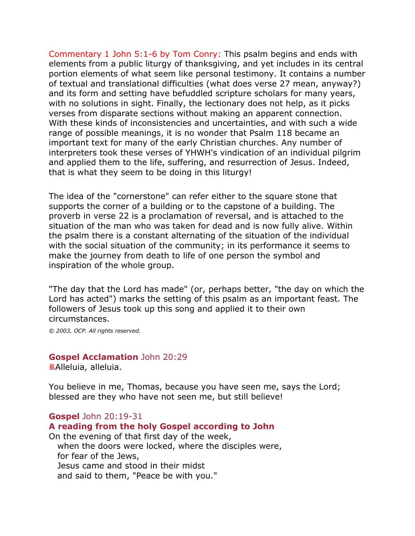Commentary 1 John 5:1-6 by [Tom Conry:](http://www.liturgy.com/home/authors.php?authorID=185) This psalm begins and ends with elements from a public liturgy of thanksgiving, and yet includes in its central portion elements of what seem like personal testimony. It contains a number of textual and translational difficulties (what does verse 27 mean, anyway?) and its form and setting have befuddled scripture scholars for many years, with no solutions in sight. Finally, the lectionary does not help, as it picks verses from disparate sections without making an apparent connection. With these kinds of inconsistencies and uncertainties, and with such a wide range of possible meanings, it is no wonder that Psalm 118 became an important text for many of the early Christian churches. Any number of interpreters took these verses of YHWH's vindication of an individual pilgrim and applied them to the life, suffering, and resurrection of Jesus. Indeed, that is what they seem to be doing in this liturgy!

The idea of the "cornerstone" can refer either to the square stone that supports the corner of a building or to the capstone of a building. The proverb in verse 22 is a proclamation of reversal, and is attached to the situation of the man who was taken for dead and is now fully alive. Within the psalm there is a constant alternating of the situation of the individual with the social situation of the community; in its performance it seems to make the journey from death to life of one person the symbol and inspiration of the whole group.

"The day that the Lord has made" (or, perhaps better, "the day on which the Lord has acted") marks the setting of this psalm as an important feast. The followers of Jesus took up this song and applied it to their own circumstances.

*© 2003, OCP. All rights reserved.*

## **Gospel Acclamation** John 20:29

Alleluia, alleluia.

You believe in me, Thomas, because you have seen me, says the Lord; blessed are they who have not seen me, but still believe!

## **Gospel** John 20:19-31

## **A reading from the holy Gospel according to John**

On the evening of that first day of the week, when the doors were locked, where the disciples were, for fear of the Jews, Jesus came and stood in their midst and said to them, "Peace be with you."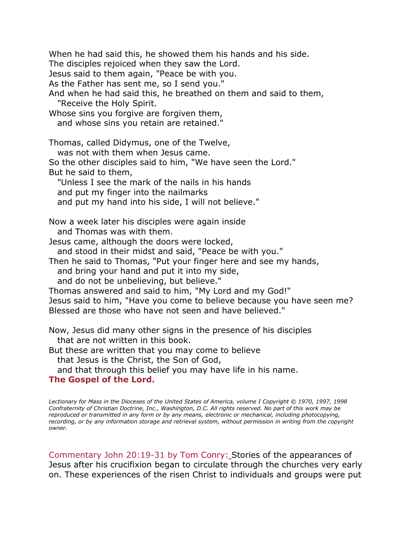When he had said this, he showed them his hands and his side. The disciples rejoiced when they saw the Lord. Jesus said to them again, "Peace be with you. As the Father has sent me, so I send you." And when he had said this, he breathed on them and said to them, "Receive the Holy Spirit. Whose sins you forgive are forgiven them, and whose sins you retain are retained." Thomas, called Didymus, one of the Twelve, was not with them when Jesus came. So the other disciples said to him, "We have seen the Lord." But he said to them, "Unless I see the mark of the nails in his hands and put my finger into the nailmarks and put my hand into his side, I will not believe." Now a week later his disciples were again inside and Thomas was with them. Jesus came, although the doors were locked, and stood in their midst and said, "Peace be with you." Then he said to Thomas, "Put your finger here and see my hands, and bring your hand and put it into my side, and do not be unbelieving, but believe." Thomas answered and said to him, "My Lord and my God!" Jesus said to him, "Have you come to believe because you have seen me? Blessed are those who have not seen and have believed." Now, Jesus did many other signs in the presence of his disciples that are not written in this book. But these are written that you may come to believe that Jesus is the Christ, the Son of God, and that through this belief you may have life in his name.

## **The Gospel of the Lord.**

*Lectionary for Mass in the Dioceses of the United States of America, volume I Copyright © 1970, 1997, 1998 Confraternity of Christian Doctrine, Inc., Washington, D.C. All rights reserved. No part of this work may be reproduced or transmitted in any form or by any means, electronic or mechanical, including photocopying, recording, or by any information storage and retrieval system, without permission in writing from the copyright owner.*

Commentary John 20:19-31 by [Tom Conry:](http://www.liturgy.com/home/authors.php?authorID=185) Stories of the appearances of Jesus after his crucifixion began to circulate through the churches very early on. These experiences of the risen Christ to individuals and groups were put